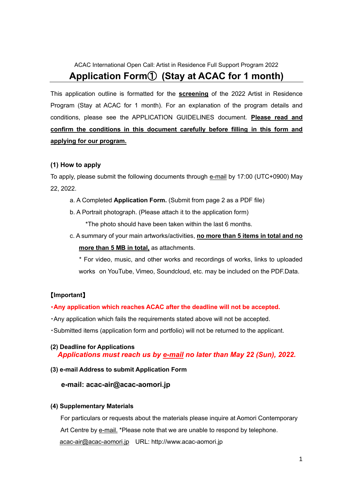# ACAC International Open Call: Artist in Residence Full Support Program 2022 **Application Form**① **(Stay at ACAC for 1 month)**

This application outline is formatted for the **screening** of the 2022 Artist in Residence Program (Stay at ACAC for 1 month). For an explanation of the program details and conditions, please see the APPLICATION GUIDELINES document. **Please read and confirm the conditions in this document carefully before filling in this form and applying for our program.**

#### **(1) How to apply**

To apply, please submit the following documents through  $e$ -mail by 17:00 (UTC+0900) May 22, 2022.

- a. A Completed **Application Form.** (Submit from page 2 as a PDF file)
- b. A Portrait photograph. (Please attach it to the application form)

\*The photo should have been taken within the last 6 months.

c. A summary of your main artworks/activities, **no more than 5 items in total and no more than 5 MB in total,** as attachments.

 \* For video, music, and other works and recordings of works, links to uploaded works on YouTube, Vimeo, Soundcloud, etc. may be included on the PDF.Data.

#### 【**Important**】

#### ・**Any application which reaches ACAC after the deadline will not be accepted.**

- ・Any application which fails the requirements stated above will not be accepted.
- ・Submitted items (application form and portfolio) will not be returned to the applicant.

#### **(2) Deadline for Applications**  *Applications must reach us by e-mail no later than May 22 (Sun), 2022.*

#### **(3) e-mail Address to submit Application Form**

#### **e-mail: acac-air@acac-aomori.jp**

#### **(4) Supplementary Materials**

For particulars or requests about the materials please inquire at Aomori Contemporary Art Centre by e-mail. \*Please note that we are unable to respond by telephone. [acac-air@acac-aomori.jp](mailto:acac-air@acac-aomori.jp) URL: http://www.acac-aomori.jp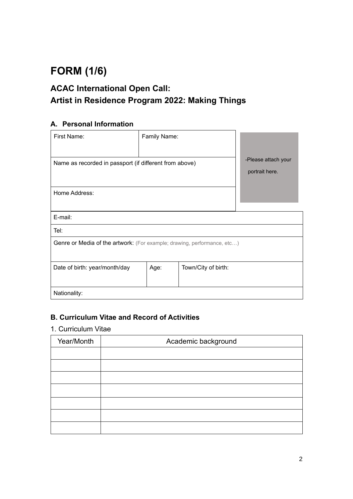# **FORM (1/6)**

# **ACAC International Open Call: Artist in Residence Program 2022: Making Things**

### **A. Personal Information**

| First Name:                                                             | Family Name: |                     |                                       |  |
|-------------------------------------------------------------------------|--------------|---------------------|---------------------------------------|--|
| Name as recorded in passport (if different from above)                  |              |                     | -Please attach your<br>portrait here. |  |
| Home Address:                                                           |              |                     |                                       |  |
| E-mail:                                                                 |              |                     |                                       |  |
| Tel:                                                                    |              |                     |                                       |  |
| Genre or Media of the artwork: (For example; drawing, performance, etc) |              |                     |                                       |  |
| Date of birth: year/month/day                                           | Age:         | Town/City of birth: |                                       |  |
| Nationality:                                                            |              |                     |                                       |  |

### **B. Curriculum Vitae and Record of Activities**

#### 1. Curriculum Vitae

| Year/Month | Academic background |  |  |
|------------|---------------------|--|--|
|            |                     |  |  |
|            |                     |  |  |
|            |                     |  |  |
|            |                     |  |  |
|            |                     |  |  |
|            |                     |  |  |
|            |                     |  |  |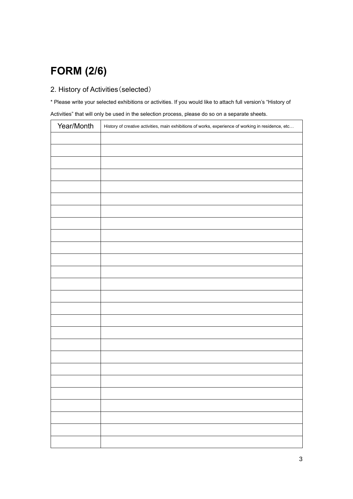# **FORM (2/6)**

### 2. History of Activities(selected)

\* Please write your selected exhibitions or activities. If you would like to attach full version's "History of Activities" that will only be used in the selection process, please do so on a separate sheets.

| Year/Month | History of creative activities, main exhibitions of works, experience of working in residence, etc |
|------------|----------------------------------------------------------------------------------------------------|
|            |                                                                                                    |
|            |                                                                                                    |
|            |                                                                                                    |
|            |                                                                                                    |
|            |                                                                                                    |
|            |                                                                                                    |
|            |                                                                                                    |
|            |                                                                                                    |
|            |                                                                                                    |
|            |                                                                                                    |
|            |                                                                                                    |
|            |                                                                                                    |
|            |                                                                                                    |
|            |                                                                                                    |
|            |                                                                                                    |
|            |                                                                                                    |
|            |                                                                                                    |
|            |                                                                                                    |
|            |                                                                                                    |
|            |                                                                                                    |
|            |                                                                                                    |
|            |                                                                                                    |
|            |                                                                                                    |
|            |                                                                                                    |
|            |                                                                                                    |
|            |                                                                                                    |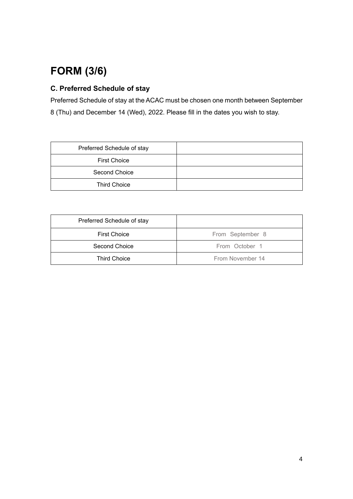# **FORM (3/6)**

## **C. Preferred Schedule of stay**

Preferred Schedule of stay at the ACAC must be chosen one month between September 8 (Thu) and December 14 (Wed), 2022. Please fill in the dates you wish to stay.

| Preferred Schedule of stay |  |
|----------------------------|--|
| <b>First Choice</b>        |  |
| Second Choice              |  |
| <b>Third Choice</b>        |  |

| Preferred Schedule of stay      |                  |
|---------------------------------|------------------|
| <b>First Choice</b>             | From September 8 |
| Second Choice<br>From October 1 |                  |
| <b>Third Choice</b>             | From November 14 |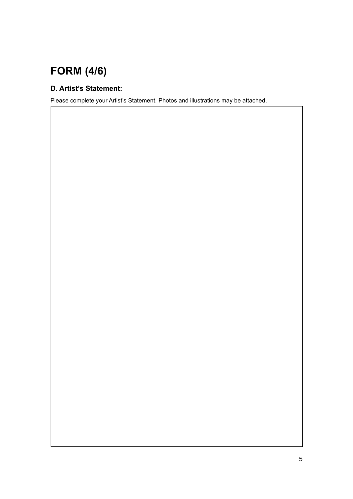# **FORM (4/6)**

## **D. Artist's Statement:**

Please complete your Artist's Statement. Photos and illustrations may be attached.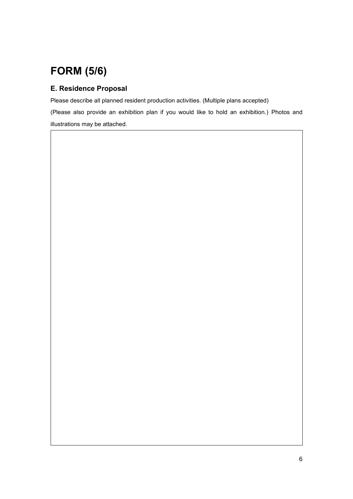# **FORM (5/6)**

### **E. Residence Proposal**

Please describe all planned resident production activities. (Multiple plans accepted)

(Please also provide an exhibition plan if you would like to hold an exhibition.) Photos and illustrations may be attached.